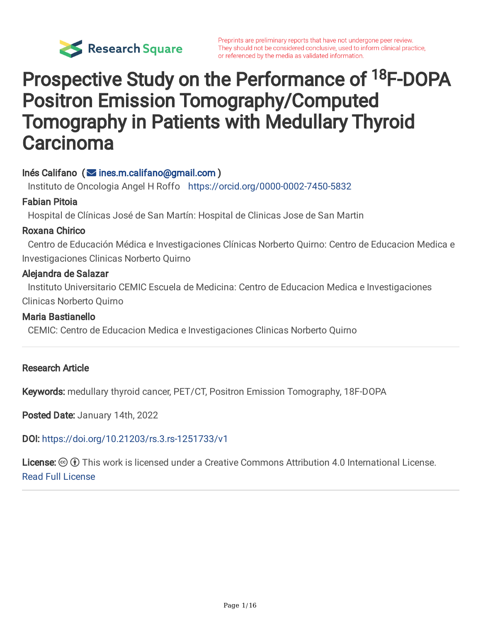

# Prospective Study on the Performance of <sup>18</sup>F-DOPA Positron Emission Tomography/Computed Tomography in Patients with Medullary Thyroid **Carcinoma**

## $Inés California *(* 10)$  ines.m.califano@gmail.com )

Instituto de Oncologia Angel H Roffo https://orcid.org/0000-0002-7450-5832

### Fabian Pitoia

Hospital de Clínicas José de San Martín: Hospital de Clinicas Jose de San Martin

### Roxana Chirico

Centro de Educación Médica e Investigaciones Clínicas Norberto Quirno: Centro de Educacion Medica e Investigaciones Clinicas Norberto Quirno

#### Alejandra de Salazar

Instituto Universitario CEMIC Escuela de Medicina: Centro de Educacion Medica e Investigaciones Clinicas Norberto Quirno

#### Maria Bastianello

CEMIC: Centro de Educacion Medica e Investigaciones Clinicas Norberto Quirno

#### Research Article

Keywords: medullary thyroid cancer, PET/CT, Positron Emission Tomography, 18F-DOPA

Posted Date: January 14th, 2022

#### DOI: https://doi.org/10.21203/rs.3.rs-1251733/v1

License:  $\odot$  0 This work is licensed under a Creative Commons Attribution 4.0 International License. Read Full License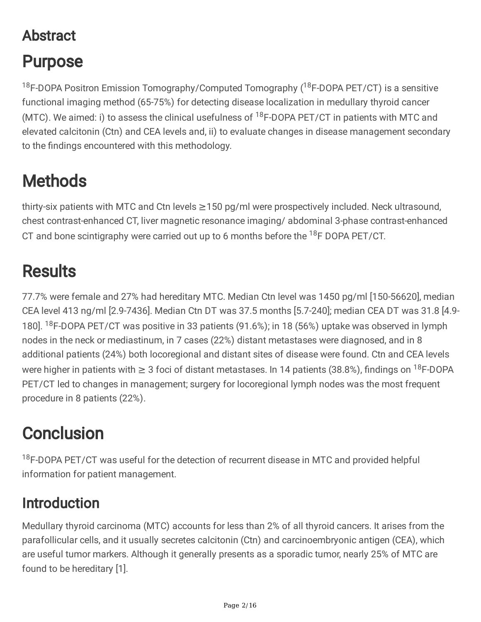## Abstract

# Purpose

<sup>18</sup>F-DOPA Positron Emission Tomography/Computed Tomography (<sup>18</sup>F-DOPA PET/CT) is a sensitive functional imaging method (65-75%) for detecting disease localization in medullary thyroid cancer (MTC). We aimed: i) to assess the clinical usefulness of <sup>18</sup>F-DOPA PET/CT in patients with MTC and elevated calcitonin (Ctn) and CEA levels and, ii) to evaluate changes in disease management secondary to the findings encountered with this methodology.

# **Methods**

thirty-six patients with MTC and Ctn levels ≥150 pg/ml were prospectively included. Neck ultrasound, chest contrast-enhanced CT, liver magnetic resonance imaging/ abdominal 3-phase contrast-enhanced CT and bone scintigraphy were carried out up to 6 months before the  $^{18}$ F DOPA PET/CT.

# **Results**

77.7% were female and 27% had hereditary MTC. Median Ctn level was 1450 pg/ml [150-56620], median CEA level 413 ng/ml [2.9-7436]. Median Ctn DT was 37.5 months [5.7-240]; median CEA DT was 31.8 [4.9- 180]. <sup>18</sup>F-DOPA PET/CT was positive in 33 patients (91.6%); in 18 (56%) uptake was observed in lymph nodes in the neck or mediastinum, in 7 cases (22%) distant metastases were diagnosed, and in 8 additional patients (24%) both locoregional and distant sites of disease were found. Ctn and CEA levels were higher in patients with  $\geq 3$  foci of distant metastases. In 14 patients (38.8%), findings on <sup>18</sup>F-DOPA PET/CT led to changes in management; surgery for locoregional lymph nodes was the most frequent procedure in 8 patients (22%).

# **Conclusion**

<sup>18</sup>F-DOPA PET/CT was useful for the detection of recurrent disease in MTC and provided helpful information for patient management.

## Introduction

Medullary thyroid carcinoma (MTC) accounts for less than 2% of all thyroid cancers. It arises from the parafollicular cells, and it usually secretes calcitonin (Ctn) and carcinoembryonic antigen (CEA), which are useful tumor markers. Although it generally presents as a sporadic tumor, nearly 25% of MTC are found to be hereditary [1].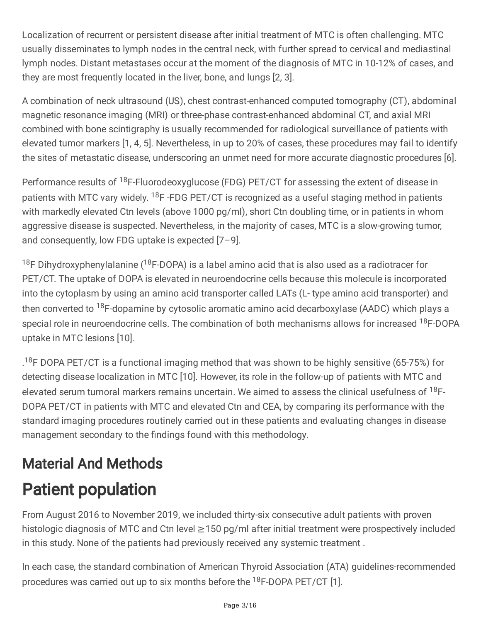Localization of recurrent or persistent disease after initial treatment of MTC is often challenging. MTC usually disseminates to lymph nodes in the central neck, with further spread to cervical and mediastinal lymph nodes. Distant metastases occur at the moment of the diagnosis of MTC in 10-12% of cases, and they are most frequently located in the liver, bone, and lungs [2, 3].

A combination of neck ultrasound (US), chest contrast-enhanced computed tomography (CT), abdominal magnetic resonance imaging (MRI) or three-phase contrast-enhanced abdominal CT, and axial MRI combined with bone scintigraphy is usually recommended for radiological surveillance of patients with elevated tumor markers [1, 4, 5]. Nevertheless, in up to 20% of cases, these procedures may fail to identify the sites of metastatic disease, underscoring an unmet need for more accurate diagnostic procedures [6].

Performance results of <sup>18</sup>F-Fluorodeoxyglucose (FDG) PET/CT for assessing the extent of disease in patients with MTC vary widely. <sup>18</sup>F -FDG PET/CT is recognized as a useful staging method in patients with markedly elevated Ctn levels (above 1000 pg/ml), short Ctn doubling time, or in patients in whom aggressive disease is suspected. Nevertheless, in the majority of cases, MTC is a slow-growing tumor, and consequently, low FDG uptake is expected [7–9].

 $^{18}$ F Dihydroxyphenylalanine ( $^{18}$ F-DOPA) is a label amino acid that is also used as a radiotracer for PET/CT. The uptake of DOPA is elevated in neuroendocrine cells because this molecule is incorporated into the cytoplasm by using an amino acid transporter called LATs (L- type amino acid transporter) and then converted to <sup>18</sup>F-dopamine by cytosolic aromatic amino acid decarboxylase (AADC) which plays a special role in neuroendocrine cells. The combination of both mechanisms allows for increased <sup>18</sup>F-DOPA uptake in MTC lesions [10].

.<sup>18</sup>F DOPA PET/CT is a functional imaging method that was shown to be highly sensitive (65-75%) for detecting disease localization in MTC [10]. However, its role in the follow-up of patients with MTC and elevated serum tumoral markers remains uncertain. We aimed to assess the clinical usefulness of <sup>18</sup>F-DOPA PET/CT in patients with MTC and elevated Ctn and CEA, by comparing its performance with the standard imaging procedures routinely carried out in these patients and evaluating changes in disease management secondary to the findings found with this methodology.

# Material And Methods Patient population

From August 2016 to November 2019, we included thirty-six consecutive adult patients with proven histologic diagnosis of MTC and Ctn level ≥150 pg/ml after initial treatment were prospectively included in this study. None of the patients had previously received any systemic treatment .

In each case, the standard combination of American Thyroid Association (ATA) guidelines-recommended procedures was carried out up to six months before the <sup>18</sup>F-DOPA PET/CT [1].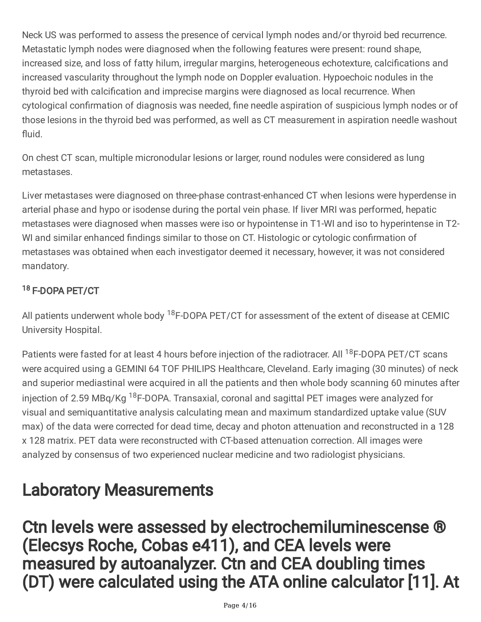Neck US was performed to assess the presence of cervical lymph nodes and/or thyroid bed recurrence. Metastatic lymph nodes were diagnosed when the following features were present: round shape, increased size, and loss of fatty hilum, irregular margins, heterogeneous echotexture, calcifications and increased vascularity throughout the lymph node on Doppler evaluation. Hypoechoic nodules in the thyroid bed with calcification and imprecise margins were diagnosed as local recurrence. When cytological confirmation of diagnosis was needed, fine needle aspiration of suspicious lymph nodes or of those lesions in the thyroid bed was performed, as well as CT measurement in aspiration needle washout fluid.

On chest CT scan, multiple micronodular lesions or larger, round nodules were considered as lung metastases.

Liver metastases were diagnosed on three-phase contrast-enhanced CT when lesions were hyperdense in arterial phase and hypo or isodense during the portal vein phase. If liver MRI was performed, hepatic metastases were diagnosed when masses were iso or hypointense in T1-WI and iso to hyperintense in T2- WI and similar enhanced findings similar to those on CT. Histologic or cytologic confirmation of metastases was obtained when each investigator deemed it necessary, however, it was not considered mandatory.

## <sup>18</sup> F-DOPA PET/CT

All patients underwent whole body <sup>18</sup>F-DOPA PET/CT for assessment of the extent of disease at CEMIC University Hospital.

Patients were fasted for at least 4 hours before injection of the radiotracer. All <sup>18</sup>F-DOPA PET/CT scans were acquired using a GEMINI 64 TOF PHILIPS Healthcare, Cleveland. Early imaging (30 minutes) of neck and superior mediastinal were acquired in all the patients and then whole body scanning 60 minutes after injection of 2.59 MBq/Kg <sup>18</sup>F-DOPA. Transaxial, coronal and sagittal PET images were analyzed for visual and semiquantitative analysis calculating mean and maximum standardized uptake value (SUV max) of the data were corrected for dead time, decay and photon attenuation and reconstructed in a 128 x 128 matrix. PET data were reconstructed with CT-based attenuation correction. All images were analyzed by consensus of two experienced nuclear medicine and two radiologist physicians.

# Laboratory Measurements

Ctn levels were assessed by electrochemiluminescense ® (Elecsys Roche, Cobas e411), and CEA levels were measured by autoanalyzer. Ctn and CEA doubling times (DT) were calculated using the ATA online calculator [11]. At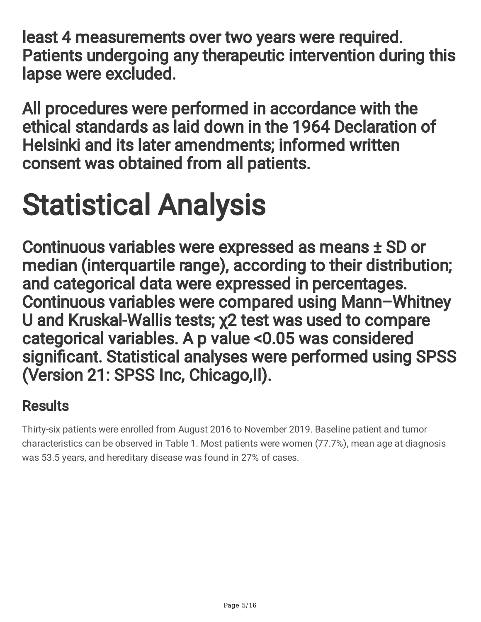least 4 measurements over two years were required. Patients undergoing any therapeutic intervention during this lapse were excluded.

All procedures were performed in accordance with the ethical standards as laid down in the 1964 Declaration of Helsinki and its later amendments; informed written consent was obtained from all patients.

# Statistical Analysis

Continuous variables were expressed as means ± SD or median (interquartile range), according to their distribution; and categorical data were expressed in percentages. Continuous variables were compared using Mann–Whitney U and Kruskal-Wallis tests; χ2 test was used to compare categorical variables. A p value <0.05 was considered significant. Statistical analyses were performed using SPSS (Version 21: SPSS Inc, Chicago,Il).

## **Results**

Thirty-six patients were enrolled from August 2016 to November 2019. Baseline patient and tumor characteristics can be observed in Table 1. Most patients were women (77.7%), mean age at diagnosis was 53.5 years, and hereditary disease was found in 27% of cases.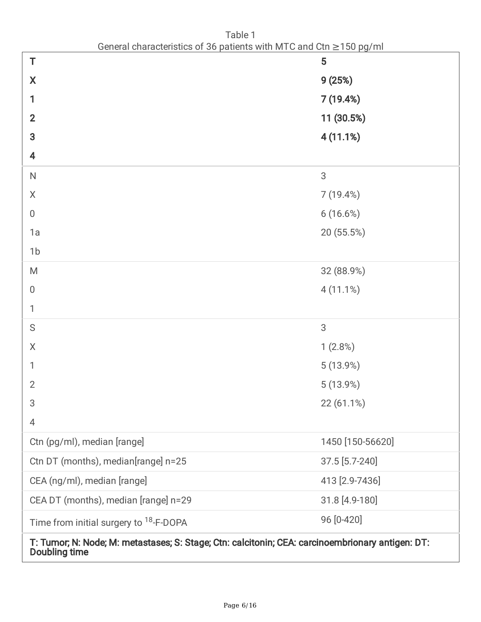| General characteristics of 36 patients with MTC and Ctn $\geq$ 150 pg/ml                                                 |                  |  |  |  |
|--------------------------------------------------------------------------------------------------------------------------|------------------|--|--|--|
| Τ                                                                                                                        | 5                |  |  |  |
| $\pmb{\mathsf{X}}$                                                                                                       | 9(25%)           |  |  |  |
| 1                                                                                                                        | 7 (19.4%)        |  |  |  |
| $\mathbf{2}$                                                                                                             | 11 (30.5%)       |  |  |  |
| 3                                                                                                                        | 4(11.1%)         |  |  |  |
| 4                                                                                                                        |                  |  |  |  |
| $\mathsf{N}$                                                                                                             | 3                |  |  |  |
| X                                                                                                                        | 7(19.4%)         |  |  |  |
| $\boldsymbol{0}$                                                                                                         | 6(16.6%)         |  |  |  |
| 1a                                                                                                                       | 20 (55.5%)       |  |  |  |
| 1 <sub>b</sub>                                                                                                           |                  |  |  |  |
| M                                                                                                                        | 32 (88.9%)       |  |  |  |
| 0                                                                                                                        | 4(11.1%)         |  |  |  |
| 1                                                                                                                        |                  |  |  |  |
| $\mathsf S$                                                                                                              | 3                |  |  |  |
| X                                                                                                                        | 1(2.8%)          |  |  |  |
|                                                                                                                          | 5(13.9%)         |  |  |  |
| $\overline{2}$                                                                                                           | 5(13.9%)         |  |  |  |
| 3                                                                                                                        | 22 (61.1%)       |  |  |  |
| 4                                                                                                                        |                  |  |  |  |
| Ctn (pg/ml), median [range]                                                                                              | 1450 [150-56620] |  |  |  |
| Ctn DT (months), median[range] n=25                                                                                      | 37.5 [5.7-240]   |  |  |  |
| CEA (ng/ml), median [range]                                                                                              | 413 [2.9-7436]   |  |  |  |
| CEA DT (months), median [range] n=29                                                                                     | 31.8 [4.9-180]   |  |  |  |
| Time from initial surgery to <sup>18</sup> -F-DOPA                                                                       | 96 [0-420]       |  |  |  |
| T: Tumor; N: Node; M: metastases; S: Stage; Ctn: calcitonin; CEA: carcinoembrionary antigen: DT:<br><b>Doubling time</b> |                  |  |  |  |

Table 1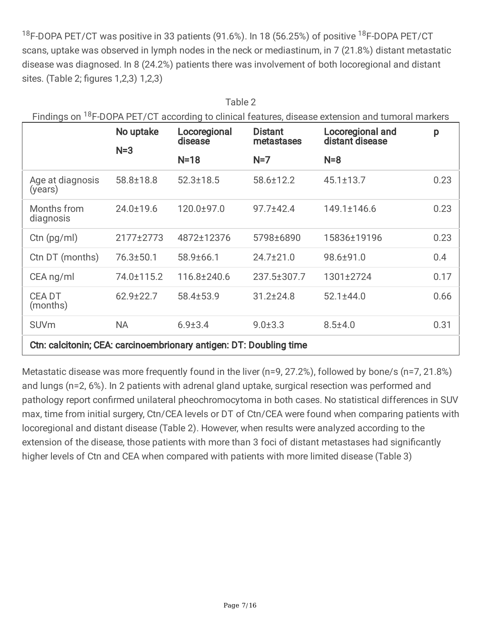<sup>18</sup>F-DOPA PET/CT was positive in 33 patients (91.6%). In 18 (56.25%) of positive <sup>18</sup>F-DOPA PET/CT scans, uptake was observed in lymph nodes in the neck or mediastinum, in 7 (21.8%) distant metastatic disease was diagnosed. In 8 (24.2%) patients there was involvement of both locoregional and distant sites. (Table 2; figures 1,2,3) 1,2,3)

 $Table 2$ 

| Tapic Z<br>Findings on <sup>18</sup> F-DOPA PET/CT according to clinical features, disease extension and tumoral markers |            |                         |                              |                                     |      |  |  |
|--------------------------------------------------------------------------------------------------------------------------|------------|-------------------------|------------------------------|-------------------------------------|------|--|--|
| No uptake<br>$N=3$                                                                                                       |            | Locoregional<br>disease | <b>Distant</b><br>metastases | Locoregional and<br>distant disease | p    |  |  |
|                                                                                                                          |            | $N=18$                  | $N=7$                        | $N=8$                               |      |  |  |
| Age at diagnosis<br>(years)                                                                                              | 58.8±18.8  | $52.3 \pm 18.5$         | 58.6±12.2                    | $45.1 \pm 13.7$                     | 0.23 |  |  |
| Months from<br>diagnosis                                                                                                 | 24.0±19.6  | 120.0±97.0              | $97.7 \pm 42.4$              | 149.1±146.6                         | 0.23 |  |  |
| Ctn $(pg/ml)$                                                                                                            | 2177±2773  | 4872±12376              | 5798±6890                    | 15836±19196                         | 0.23 |  |  |
| Ctn DT (months)                                                                                                          | 76.3±50.1  | 58.9±66.1               | $24.7 \pm 21.0$              | 98.6±91.0                           | 0.4  |  |  |
| CEA ng/ml                                                                                                                | 74.0±115.2 | 116.8±240.6             | 237.5±307.7                  | 1301±2724                           | 0.17 |  |  |
| <b>CEADT</b><br>(months)                                                                                                 | 62.9±22.7  | 58.4±53.9               | $31.2 \pm 24.8$              | $52.1 \pm 44.0$                     | 0.66 |  |  |
| <b>SUVm</b>                                                                                                              | <b>NA</b>  | $6.9 + 3.4$             | $9.0 \pm 3.3$                | $8.5 \pm 4.0$                       | 0.31 |  |  |
| Ctn: calcitonin; CEA: carcinoembrionary antigen: DT: Doubling time                                                       |            |                         |                              |                                     |      |  |  |

Metastatic disease was more frequently found in the liver (n=9, 27.2%), followed by bone/s (n=7, 21.8%) and lungs (n=2, 6%). In 2 patients with adrenal gland uptake, surgical resection was performed and pathology report confirmed unilateral pheochromocytoma in both cases. No statistical differences in SUV max, time from initial surgery, Ctn/CEA levels or DT of Ctn/CEA were found when comparing patients with locoregional and distant disease (Table 2). However, when results were analyzed according to the extension of the disease, those patients with more than 3 foci of distant metastases had significantly higher levels of Ctn and CEA when compared with patients with more limited disease (Table 3)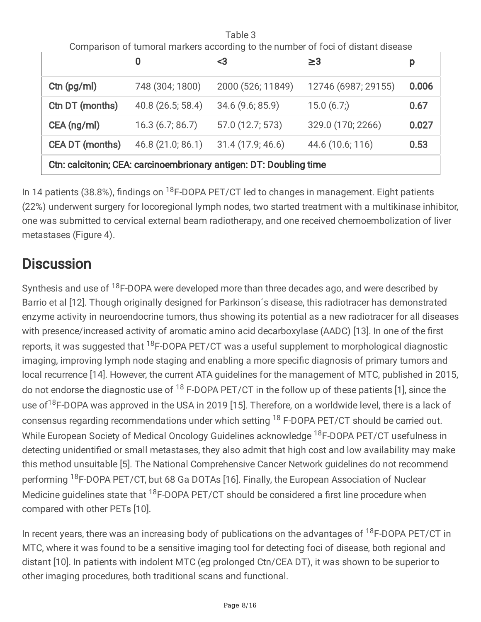| Table 3                                                                          |                   |                   |                     |       |  |  |  |
|----------------------------------------------------------------------------------|-------------------|-------------------|---------------------|-------|--|--|--|
| Comparison of tumoral markers according to the number of foci of distant disease |                   |                   |                     |       |  |  |  |
|                                                                                  | 0                 | <3                | $\geq$ 3            | p     |  |  |  |
| Ctn (pg/ml)                                                                      | 748 (304; 1800)   | 2000 (526; 11849) | 12746 (6987; 29155) | 0.006 |  |  |  |
| Ctn DT (months)                                                                  | 40.8 (26.5; 58.4) | 34.6 (9.6; 85.9)  | 15.0(6.7)           | 0.67  |  |  |  |
| CEA (ng/ml)                                                                      | 16.3(6.7; 86.7)   | 57.0 (12.7; 573)  | 329.0 (170; 2266)   | 0.027 |  |  |  |
| <b>CEA DT (months)</b>                                                           | 46.8 (21.0; 86.1) | 31.4 (17.9; 46.6) | 44.6 (10.6; 116)    | 0.53  |  |  |  |
| Ctn: calcitonin; CEA: carcinoembrionary antigen: DT: Doubling time               |                   |                   |                     |       |  |  |  |

In 14 patients (38.8%), findings on <sup>18</sup>F-DOPA PET/CT led to changes in management. Eight patients (22%) underwent surgery for locoregional lymph nodes, two started treatment with a multikinase inhibitor, one was submitted to cervical external beam radiotherapy, and one received chemoembolization of liver metastases (Figure 4).

## **Discussion**

Synthesis and use of <sup>18</sup>F-DOPA were developed more than three decades ago, and were described by Barrio et al [12]. Though originally designed for Parkinson´s disease, this radiotracer has demonstrated enzyme activity in neuroendocrine tumors, thus showing its potential as a new radiotracer for all diseases with presence/increased activity of aromatic amino acid decarboxylase (AADC) [13]. In one of the first reports, it was suggested that <sup>18</sup>F-DOPA PET/CT was a useful supplement to morphological diagnostic imaging, improving lymph node staging and enabling a more specific diagnosis of primary tumors and local recurrence [14]. However, the current ATA guidelines for the management of MTC, published in 2015, do not endorse the diagnostic use of <sup>18</sup> F-DOPA PET/CT in the follow up of these patients [1], since the use of<sup>18</sup>F-DOPA was approved in the USA in 2019 [15]. Therefore, on a worldwide level, there is a lack of consensus regarding recommendations under which setting <sup>18</sup> F-DOPA PET/CT should be carried out. While European Society of Medical Oncology Guidelines acknowledge <sup>18</sup>F-DOPA PET/CT usefulness in detecting unidentified or small metastases, they also admit that high cost and low availability may make this method unsuitable [5]. The National Comprehensive Cancer Network guidelines do not recommend performing <sup>18</sup>F-DOPA PET/CT, but 68 Ga DOTAs [16]. Finally, the European Association of Nuclear Medicine guidelines state that <sup>18</sup>F-DOPA PET/CT should be considered a first line procedure when compared with other PETs [10].

In recent years, there was an increasing body of publications on the advantages of <sup>18</sup>F-DOPA PET/CT in MTC, where it was found to be a sensitive imaging tool for detecting foci of disease, both regional and distant [10]. In patients with indolent MTC (eg prolonged Ctn/CEA DT), it was shown to be superior to other imaging procedures, both traditional scans and functional.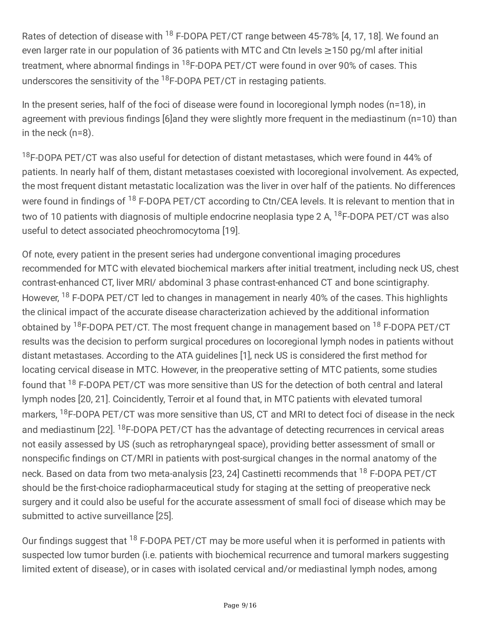Rates of detection of disease with <sup>18</sup> F-DOPA PET/CT range between 45-78% [4, 17, 18]. We found an even larger rate in our population of 36 patients with MTC and Ctn levels ≥150 pg/ml after initial treatment, where abnormal findings in <sup>18</sup>F-DOPA PET/CT were found in over 90% of cases. This underscores the sensitivity of the <sup>18</sup>F-DOPA PET/CT in restaging patients.

In the present series, half of the foci of disease were found in locoregional lymph nodes (n=18), in agreement with previous findings [6]and they were slightly more frequent in the mediastinum (n=10) than in the neck (n=8).

<sup>18</sup>F-DOPA PET/CT was also useful for detection of distant metastases, which were found in 44% of patients. In nearly half of them, distant metastases coexisted with locoregional involvement. As expected, the most frequent distant metastatic localization was the liver in over half of the patients. No differences were found in findings of <sup>18</sup> F-DOPA PET/CT according to Ctn/CEA levels. It is relevant to mention that in two of 10 patients with diagnosis of multiple endocrine neoplasia type 2 A, <sup>18</sup>F-DOPA PET/CT was also useful to detect associated pheochromocytoma [19].

Of note, every patient in the present series had undergone conventional imaging procedures recommended for MTC with elevated biochemical markers after initial treatment, including neck US, chest contrast-enhanced CT, liver MRI/ abdominal 3 phase contrast-enhanced CT and bone scintigraphy. However, <sup>18</sup> F-DOPA PET/CT led to changes in management in nearly 40% of the cases. This highlights the clinical impact of the accurate disease characterization achieved by the additional information obtained by <sup>18</sup>F-DOPA PET/CT. The most frequent change in management based on <sup>18</sup> F-DOPA PET/CT results was the decision to perform surgical procedures on locoregional lymph nodes in patients without distant metastases. According to the ATA guidelines [1], neck US is considered the first method for locating cervical disease in MTC. However, in the preoperative setting of MTC patients, some studies found that <sup>18</sup> F-DOPA PET/CT was more sensitive than US for the detection of both central and lateral lymph nodes [20, 21]. Coincidently, Terroir et al found that, in MTC patients with elevated tumoral markers, <sup>18</sup>F-DOPA PET/CT was more sensitive than US, CT and MRI to detect foci of disease in the neck and mediastinum [22]. <sup>18</sup>F-DOPA PET/CT has the advantage of detecting recurrences in cervical areas not easily assessed by US (such as retropharyngeal space), providing better assessment of small or nonspecific findings on CT/MRI in patients with post-surgical changes in the normal anatomy of the neck. Based on data from two meta-analysis [23, 24] Castinetti recommends that <sup>18</sup> F-DOPA PET/CT should be the first-choice radiopharmaceutical study for staging at the setting of preoperative neck surgery and it could also be useful for the accurate assessment of small foci of disease which may be submitted to active surveillance [25].

Our findings suggest that <sup>18</sup> F-DOPA PET/CT may be more useful when it is performed in patients with suspected low tumor burden (i.e. patients with biochemical recurrence and tumoral markers suggesting limited extent of disease), or in cases with isolated cervical and/or mediastinal lymph nodes, among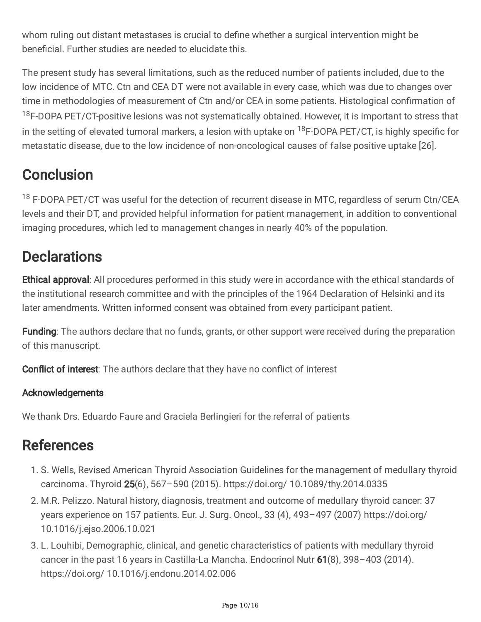whom ruling out distant metastases is crucial to define whether a surgical intervention might be beneficial. Further studies are needed to elucidate this.

The present study has several limitations, such as the reduced number of patients included, due to the low incidence of MTC. Ctn and CEA DT were not available in every case, which was due to changes over time in methodologies of measurement of Ctn and/or CEA in some patients. Histological confirmation of <sup>18</sup>F-DOPA PET/CT-positive lesions was not systematically obtained. However, it is important to stress that in the setting of elevated tumoral markers, a lesion with uptake on <sup>18</sup>F-DOPA PET/CT, is highly specific for metastatic disease, due to the low incidence of non-oncological causes of false positive uptake [26].

## **Conclusion**

<sup>18</sup> F-DOPA PET/CT was useful for the detection of recurrent disease in MTC, regardless of serum Ctn/CEA levels and their DT, and provided helpful information for patient management, in addition to conventional imaging procedures, which led to management changes in nearly 40% of the population.

## **Declarations**

Ethical approval: All procedures performed in this study were in accordance with the ethical standards of the institutional research committee and with the principles of the 1964 Declaration of Helsinki and its later amendments. Written informed consent was obtained from every participant patient.

Funding: The authors declare that no funds, grants, or other support were received during the preparation of this manuscript.

**Conflict of interest:** The authors declare that they have no conflict of interest

## Acknowledgements

We thank Drs. Eduardo Faure and Graciela Berlingieri for the referral of patients

## References

- 1. S. Wells, Revised American Thyroid Association Guidelines for the management of medullary thyroid carcinoma. Thyroid 25(6), 567–590 (2015). https://doi.org/ 10.1089/thy.2014.0335
- 2. M.R. Pelizzo. Natural history, diagnosis, treatment and outcome of medullary thyroid cancer: 37 years experience on 157 patients. Eur. J. Surg. Oncol., 33 (4), 493–497 (2007) https://doi.org/ 10.1016/j.ejso.2006.10.021
- 3. L. Louhibi, Demographic, clinical, and genetic characteristics of patients with medullary thyroid cancer in the past 16 years in Castilla-La Mancha. Endocrinol Nutr 61(8), 398–403 (2014). https://doi.org/ 10.1016/j.endonu.2014.02.006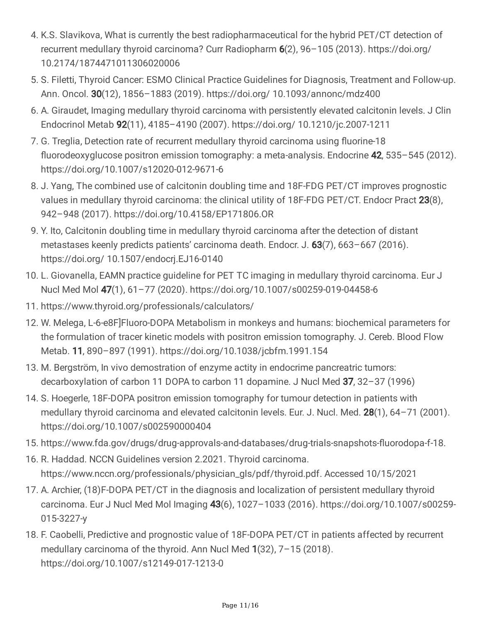- 4. K.S. Slavikova, What is currently the best radiopharmaceutical for the hybrid PET/CT detection of recurrent medullary thyroid carcinoma? Curr Radiopharm 6(2), 96–105 (2013). https://doi.org/ 10.2174/1874471011306020006
- 5. S. Filetti, Thyroid Cancer: ESMO Clinical Practice Guidelines for Diagnosis, Treatment and Follow-up. Ann. Oncol. 30(12), 1856–1883 (2019). https://doi.org/ 10.1093/annonc/mdz400
- 6. A. Giraudet, Imaging medullary thyroid carcinoma with persistently elevated calcitonin levels. J Clin Endocrinol Metab 92(11), 4185–4190 (2007). https://doi.org/ 10.1210/jc.2007-1211
- 7. G. Treglia, Detection rate of recurrent medullary thyroid carcinoma using fluorine-18 fluorodeoxyglucose positron emission tomography: a meta-analysis. Endocrine 42, 535–545 (2012). https://doi.org/10.1007/s12020-012-9671-6
- 8. J. Yang, The combined use of calcitonin doubling time and 18F-FDG PET/CT improves prognostic values in medullary thyroid carcinoma: the clinical utility of 18F-FDG PET/CT. Endocr Pract 23(8), 942–948 (2017). https://doi.org/10.4158/EP171806.OR
- 9. Y. Ito, Calcitonin doubling time in medullary thyroid carcinoma after the detection of distant metastases keenly predicts patients' carcinoma death. Endocr. J. 63(7), 663–667 (2016). https://doi.org/ 10.1507/endocrj.EJ16-0140
- 10. L. Giovanella, EAMN practice guideline for PET TC imaging in medullary thyroid carcinoma. Eur J Nucl Med Mol 47(1), 61–77 (2020). https://doi.org/10.1007/s00259-019-04458-6
- 11. https://www.thyroid.org/professionals/calculators/
- 12. W. Melega, L-6-e8F]Fluoro-DOPA Metabolism in monkeys and humans: biochemical parameters for the formulation of tracer kinetic models with positron emission tomography. J. Cereb. Blood Flow Metab. 11, 890–897 (1991). https://doi.org/10.1038/jcbfm.1991.154
- 13. M. Bergström, In vivo demostration of enzyme actity in endocrime pancreatric tumors: decarboxylation of carbon 11 DOPA to carbon 11 dopamine. J Nucl Med 37, 32–37 (1996)
- 14. S. Hoegerle, 18F-DOPA positron emission tomography for tumour detection in patients with medullary thyroid carcinoma and elevated calcitonin levels. Eur. J. Nucl. Med. 28(1), 64-71 (2001). https://doi.org/10.1007/s002590000404
- 15. https://www.fda.gov/drugs/drug-approvals-and-databases/drug-trials-snapshots-fluorodopa-f-18.
- 16. R. Haddad. NCCN Guidelines version 2.2021. Thyroid carcinoma. https://www.nccn.org/professionals/physician\_gls/pdf/thyroid.pdf. Accessed 10/15/2021
- 17. A. Archier, (18)F-DOPA PET/CT in the diagnosis and localization of persistent medullary thyroid carcinoma. Eur J Nucl Med Mol Imaging 43(6), 1027–1033 (2016). https://doi.org/10.1007/s00259- 015-3227-y
- 18. F. Caobelli, Predictive and prognostic value of 18F-DOPA PET/CT in patients affected by recurrent medullary carcinoma of the thyroid. Ann Nucl Med 1(32), 7–15 (2018). https://doi.org/10.1007/s12149-017-1213-0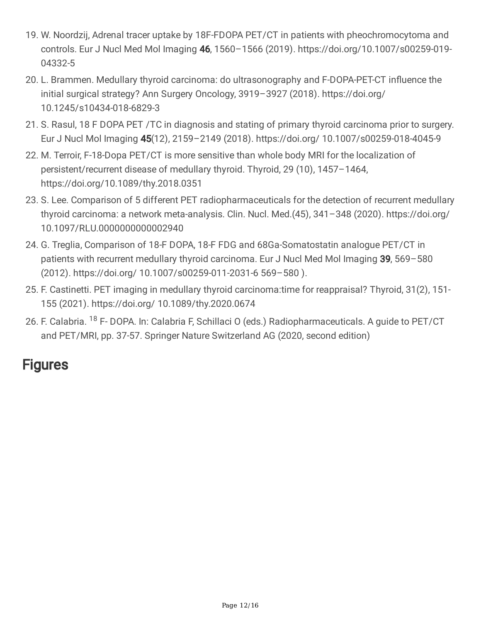- 19. W. Noordzij, Adrenal tracer uptake by 18F-FDOPA PET/CT in patients with pheochromocytoma and controls. Eur J Nucl Med Mol Imaging 46, 1560–1566 (2019). https://doi.org/10.1007/s00259-019- 04332-5
- 20. L. Brammen. Medullary thyroid carcinoma: do ultrasonography and F-DOPA-PET-CT influence the initial surgical strategy? Ann Surgery Oncology, 3919–3927 (2018). https://doi.org/ 10.1245/s10434-018-6829-3
- 21. S. Rasul, 18 F DOPA PET /TC in diagnosis and stating of primary thyroid carcinoma prior to surgery. Eur J Nucl Mol Imaging 45(12), 2159–2149 (2018). https://doi.org/ 10.1007/s00259-018-4045-9
- 22. M. Terroir, F-18-Dopa PET/CT is more sensitive than whole body MRI for the localization of persistent/recurrent disease of medullary thyroid. Thyroid, 29 (10), 1457–1464, https://doi.org/10.1089/thy.2018.0351
- 23. S. Lee. Comparison of 5 different PET radiopharmaceuticals for the detection of recurrent medullary thyroid carcinoma: a network meta-analysis. Clin. Nucl. Med.(45), 341–348 (2020). https://doi.org/ 10.1097/RLU.0000000000002940
- 24. G. Treglia, Comparison of 18-F DOPA, 18-F FDG and 68Ga-Somatostatin analogue PET/CT in patients with recurrent medullary thyroid carcinoma. Eur J Nucl Med Mol Imaging 39, 569–580 (2012). https://doi.org/ 10.1007/s00259-011-2031-6 569–580 ).
- 25. F. Castinetti. PET imaging in medullary thyroid carcinoma:time for reappraisal? Thyroid, 31(2), 151- 155 (2021). https://doi.org/ 10.1089/thy.2020.0674
- 26. F. Calabria. <sup>18</sup> F- DOPA. In: Calabria F, Schillaci O (eds.) Radiopharmaceuticals. A guide to PET/CT and PET/MRI, pp. 37-57. Springer Nature Switzerland AG (2020, second edition)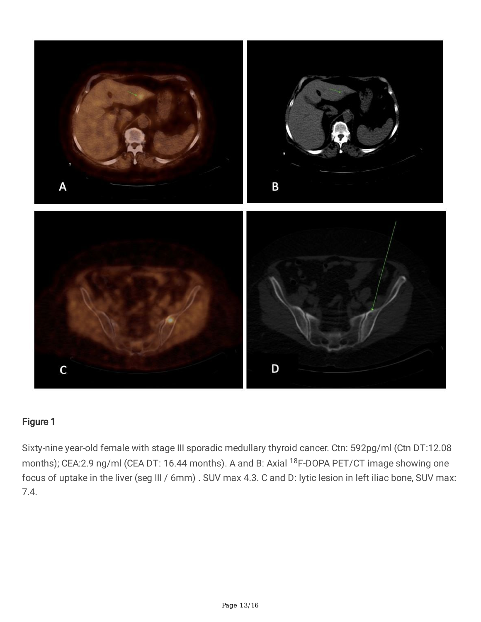

Sixty-nine year-old female with stage III sporadic medullary thyroid cancer. Ctn: 592pg/ml (Ctn DT:12.08 months); CEA:2.9 ng/ml (CEA DT: 16.44 months). A and B: Axial <sup>18</sup>F-DOPA PET/CT image showing one focus of uptake in the liver (seg III / 6mm) . SUV max 4.3. C and D: lytic lesion in left iliac bone, SUV max: 7.4.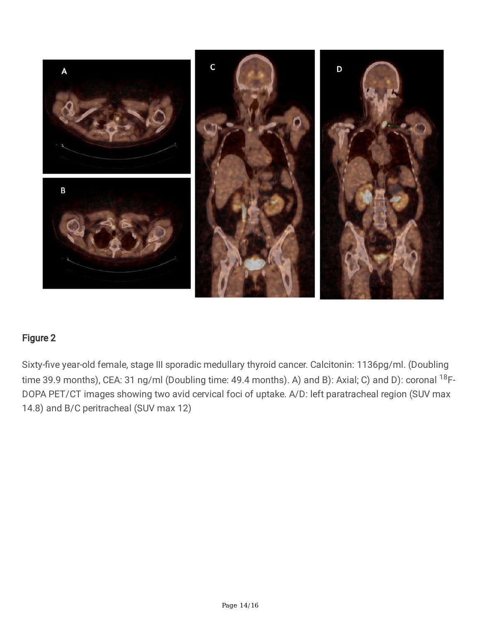

Sixty-five year-old female, stage III sporadic medullary thyroid cancer. Calcitonin: 1136pg/ml. (Doubling time 39.9 months), CEA: 31 ng/ml (Doubling time: 49.4 months). A) and B): Axial; C) and D): coronal <sup>18</sup>F-DOPA PET/CT images showing two avid cervical foci of uptake. A/D: left paratracheal region (SUV max 14.8) and B/C peritracheal (SUV max 12)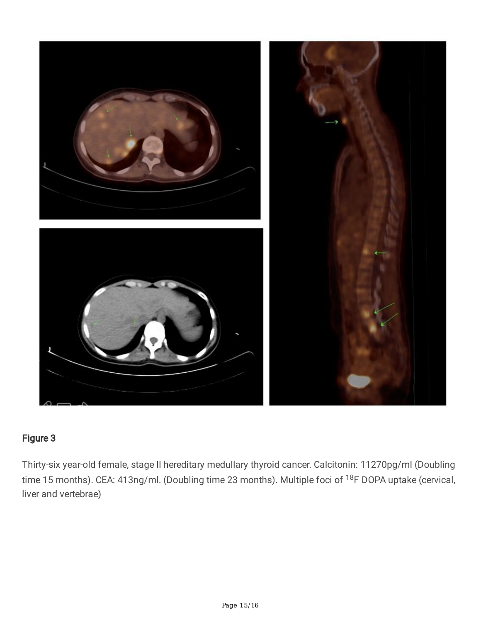

Thirty-six year-old female, stage II hereditary medullary thyroid cancer. Calcitonin: 11270pg/ml (Doubling time 15 months). CEA: 413ng/ml. (Doubling time 23 months). Multiple foci of <sup>18</sup>F DOPA uptake (cervical, liver and vertebrae)